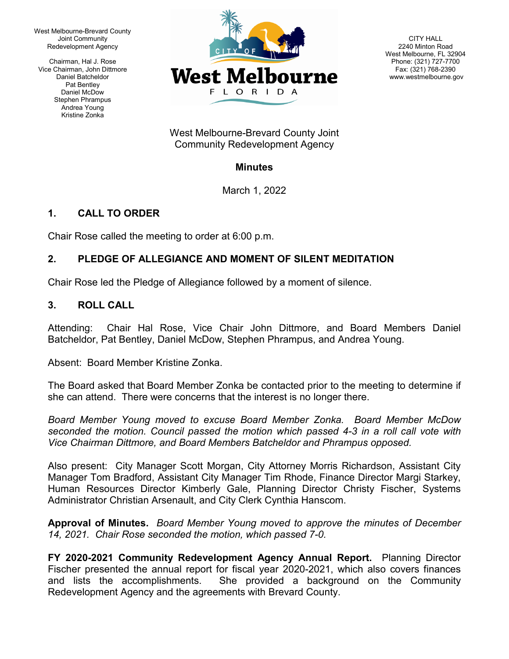West Melbourne-Brevard County Joint Community Redevelopment Agency

Chairman, Hal J. Rose Vice Chairman, John Dittmore Daniel Batcheldor Pat Bentley Daniel McDow Stephen Phrampus Andrea Young Kristine Zonka



CITY HALL 2240 Minton Road West Melbourne, FL 32904 Phone: (321) 727-7700 Fax: (321) 768-2390 www.westmelbourne.gov

West Melbourne-Brevard County Joint Community Redevelopment Agency

## **Minutes**

March 1, 2022

# **1. CALL TO ORDER**

Chair Rose called the meeting to order at 6:00 p.m.

## **2. PLEDGE OF ALLEGIANCE AND MOMENT OF SILENT MEDITATION**

Chair Rose led the Pledge of Allegiance followed by a moment of silence.

### **3. ROLL CALL**

Attending: Chair Hal Rose, Vice Chair John Dittmore, and Board Members Daniel Batcheldor, Pat Bentley, Daniel McDow, Stephen Phrampus, and Andrea Young.

Absent: Board Member Kristine Zonka.

The Board asked that Board Member Zonka be contacted prior to the meeting to determine if she can attend. There were concerns that the interest is no longer there.

*Board Member Young moved to excuse Board Member Zonka. Board Member McDow seconded the motion. Council passed the motion which passed 4-3 in a roll call vote with Vice Chairman Dittmore, and Board Members Batcheldor and Phrampus opposed.*

Also present: City Manager Scott Morgan, City Attorney Morris Richardson, Assistant City Manager Tom Bradford, Assistant City Manager Tim Rhode, Finance Director Margi Starkey, Human Resources Director Kimberly Gale, Planning Director Christy Fischer, Systems Administrator Christian Arsenault, and City Clerk Cynthia Hanscom.

**Approval of Minutes.** *Board Member Young moved to approve the minutes of December 14, 2021. Chair Rose seconded the motion, which passed 7-0.*

**FY 2020-2021 Community Redevelopment Agency Annual Report.** Planning Director Fischer presented the annual report for fiscal year 2020-2021, which also covers finances and lists the accomplishments. She provided a background on the Community Redevelopment Agency and the agreements with Brevard County.